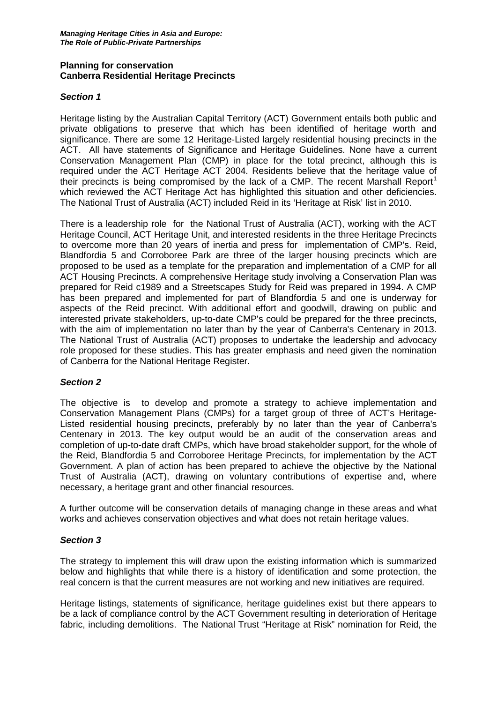### **Planning for conservation Canberra Residential Heritage Precincts**

## *Section 1*

Heritage listing by the Australian Capital Territory (ACT) Government entails both public and private obligations to preserve that which has been identified of heritage worth and significance. There are some 12 Heritage-Listed largely residential housing precincts in the ACT. All have statements of Significance and Heritage Guidelines. None have a current Conservation Management Plan (CMP) in place for the total precinct, although this is required under the ACT Heritage ACT 2004. Residents believe that the heritage value of their precincts is being compromised by the lack of a CMP. The recent Marshall Report<sup>[1](#page-2-0)</sup> which reviewed the ACT Heritage Act has highlighted this situation and other deficiencies. The National Trust of Australia (ACT) included Reid in its 'Heritage at Risk' list in 2010.

There is a leadership role for the National Trust of Australia (ACT), working with the ACT Heritage Council, ACT Heritage Unit, and interested residents in the three Heritage Precincts to overcome more than 20 years of inertia and press for implementation of CMP's. Reid, Blandfordia 5 and Corroboree Park are three of the larger housing precincts which are proposed to be used as a template for the preparation and implementation of a CMP for all ACT Housing Precincts. A comprehensive Heritage study involving a Conservation Plan was prepared for Reid c1989 and a Streetscapes Study for Reid was prepared in 1994. A CMP has been prepared and implemented for part of Blandfordia 5 and one is underway for aspects of the Reid precinct. With additional effort and goodwill, drawing on public and interested private stakeholders, up-to-date CMP's could be prepared for the three precincts, with the aim of implementation no later than by the year of Canberra's Centenary in 2013. The National Trust of Australia (ACT) proposes to undertake the leadership and advocacy role proposed for these studies. This has greater emphasis and need given the nomination of Canberra for the National Heritage Register.

#### *Section 2*

The objective is to develop and promote a strategy to achieve implementation and Conservation Management Plans (CMPs) for a target group of three of ACT's Heritage-Listed residential housing precincts, preferably by no later than the year of Canberra's Centenary in 2013. The key output would be an audit of the conservation areas and completion of up-to-date draft CMPs, which have broad stakeholder support, for the whole of the Reid, Blandfordia 5 and Corroboree Heritage Precincts, for implementation by the ACT Government. A plan of action has been prepared to achieve the objective by the National Trust of Australia (ACT), drawing on voluntary contributions of expertise and, where necessary, a heritage grant and other financial resources.

A further outcome will be conservation details of managing change in these areas and what works and achieves conservation objectives and what does not retain heritage values.

#### *Section 3*

The strategy to implement this will draw upon the existing information which is summarized below and highlights that while there is a history of identification and some protection, the real concern is that the current measures are not working and new initiatives are required.

Heritage listings, statements of significance, heritage guidelines exist but there appears to be a lack of compliance control by the ACT Government resulting in deterioration of Heritage fabric, including demolitions. The National Trust "Heritage at Risk" nomination for Reid, the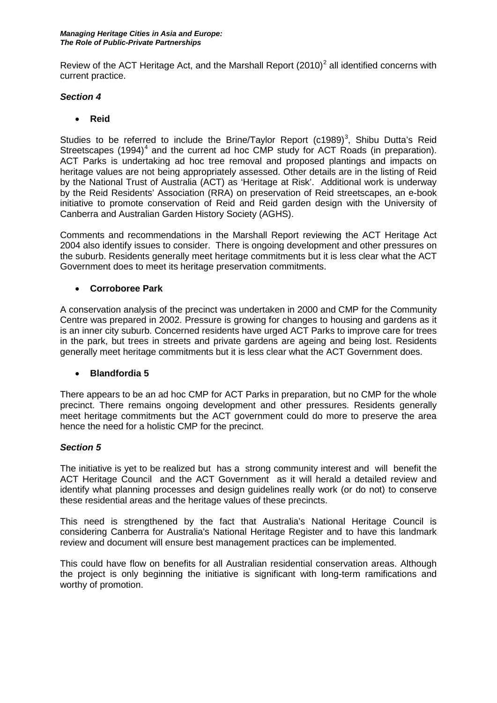Review of the ACT Heritage Act, and the Marshall Report  $(2010)^2$  $(2010)^2$  $(2010)^2$  all identified concerns with current practice.

## *Section 4*

• **Reid** 

Studies to be referred to include the Brine/Taylor Report (c1989)<sup>[3](#page-2-2)</sup>, Shibu Dutta's Reid Streetscapes  $(1994)^4$  $(1994)^4$  $(1994)^4$  and the current ad hoc CMP study for ACT Roads (in preparation). ACT Parks is undertaking ad hoc tree removal and proposed plantings and impacts on heritage values are not being appropriately assessed. Other details are in the listing of Reid by the National Trust of Australia (ACT) as 'Heritage at Risk'. Additional work is underway by the Reid Residents' Association (RRA) on preservation of Reid streetscapes, an e-book initiative to promote conservation of Reid and Reid garden design with the University of Canberra and Australian Garden History Society (AGHS).

Comments and recommendations in the Marshall Report reviewing the ACT Heritage Act 2004 also identify issues to consider. There is ongoing development and other pressures on the suburb. Residents generally meet heritage commitments but it is less clear what the ACT Government does to meet its heritage preservation commitments.

# • **Corroboree Park**

A conservation analysis of the precinct was undertaken in 2000 and CMP for the Community Centre was prepared in 2002. Pressure is growing for changes to housing and gardens as it is an inner city suburb. Concerned residents have urged ACT Parks to improve care for trees in the park, but trees in streets and private gardens are ageing and being lost. Residents generally meet heritage commitments but it is less clear what the ACT Government does.

#### • **Blandfordia 5**

There appears to be an ad hoc CMP for ACT Parks in preparation, but no CMP for the whole precinct. There remains ongoing development and other pressures. Residents generally meet heritage commitments but the ACT government could do more to preserve the area hence the need for a holistic CMP for the precinct.

# *Section 5*

The initiative is yet to be realized but has a strong community interest and will benefit the ACT Heritage Council and the ACT Government as it will herald a detailed review and identify what planning processes and design guidelines really work (or do not) to conserve these residential areas and the heritage values of these precincts.

This need is strengthened by the fact that Australia's National Heritage Council is considering Canberra for Australia's National Heritage Register and to have this landmark review and document will ensure best management practices can be implemented.

This could have flow on benefits for all Australian residential conservation areas. Although the project is only beginning the initiative is significant with long-term ramifications and worthy of promotion.